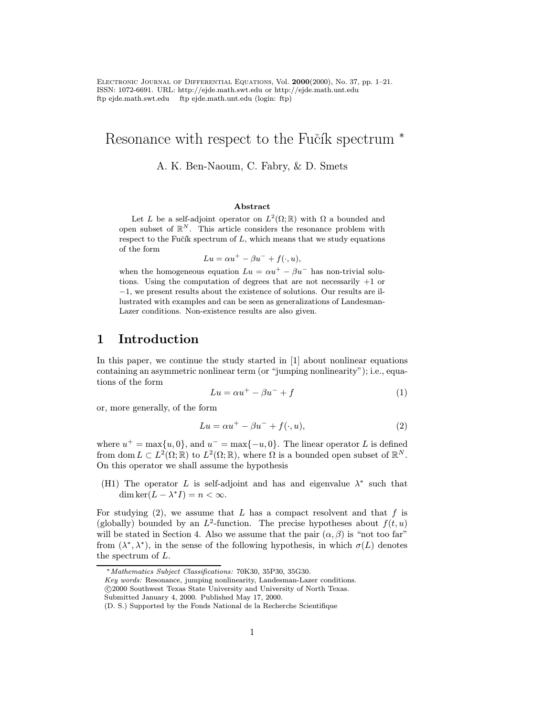Electronic Journal of Differential Equations, Vol. 2000(2000), No. 37, pp. 1–21. ISSN: 1072-6691. URL: http://ejde.math.swt.edu or http://ejde.math.unt.edu ftp ejde.math.swt.edu ftp ejde.math.unt.edu (login: ftp)

# Resonance with respect to the Fučík spectrum <sup>\*</sup>

#### A. K. Ben-Naoum, C. Fabry, & D. Smets

#### Abstract

Let L be a self-adjoint operator on  $L^2(\Omega;\mathbb{R})$  with  $\Omega$  a bounded and open subset of  $\mathbb{R}^N$ . This article considers the resonance problem with respect to the Fučík spectrum of  $L$ , which means that we study equations of the form

$$
Lu = \alpha u^+ - \beta u^- + f(\cdot, u),
$$

when the homogeneous equation  $Lu = \alpha u^+ - \beta u^-$  has non-trivial solutions. Using the computation of degrees that are not necessarily  $+1$  or −1, we present results about the existence of solutions. Our results are illustrated with examples and can be seen as generalizations of Landesman-Lazer conditions. Non-existence results are also given.

# 1 Introduction

In this paper, we continue the study started in [1] about nonlinear equations containing an asymmetric nonlinear term (or "jumping nonlinearity"); i.e., equations of the form

$$
Lu = \alpha u^+ - \beta u^- + f \tag{1}
$$

or, more generally, of the form

$$
Lu = \alpha u^+ - \beta u^- + f(\cdot, u),\tag{2}
$$

where  $u^+ = \max\{u, 0\}$ , and  $u^- = \max\{-u, 0\}$ . The linear operator L is defined from dom  $L \subset L^2(\Omega;\mathbb{R})$  to  $L^2(\Omega;\mathbb{R})$ , where  $\Omega$  is a bounded open subset of  $\mathbb{R}^N$ . On this operator we shall assume the hypothesis

(H1) The operator L is self-adjoint and has and eigenvalue  $\lambda^*$  such that dim ker $(L - \lambda^* I) = n < \infty$ .

For studying  $(2)$ , we assume that L has a compact resolvent and that f is (globally) bounded by an  $L^2$ -function. The precise hypotheses about  $f(t, u)$ will be stated in Section 4. Also we assume that the pair  $(\alpha, \beta)$  is "not too far" from  $(\lambda^*, \lambda^*)$ , in the sense of the following hypothesis, in which  $\sigma(L)$  denotes the spectrum of L.

Key words: Resonance, jumping nonlinearity, Landesman-Lazer conditions.

<sup>∗</sup>Mathematics Subject Classifications: 70K30, 35P30, 35G30.

c 2000 Southwest Texas State University and University of North Texas.

Submitted January 4, 2000. Published May 17, 2000.

<sup>(</sup>D. S.) Supported by the Fonds National de la Recherche Scientifique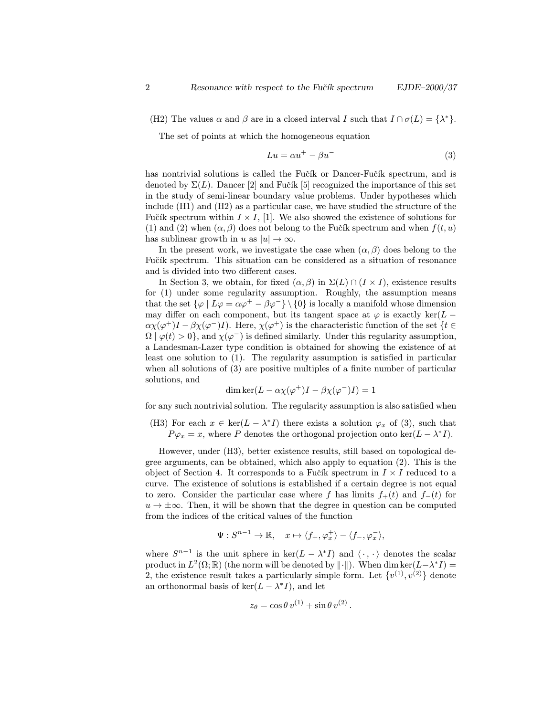(H2) The values  $\alpha$  and  $\beta$  are in a closed interval I such that  $I \cap \sigma(L) = {\lambda^*}.$ 

The set of points at which the homogeneous equation

$$
Lu = \alpha u^+ - \beta u^- \tag{3}
$$

has nontrivial solutions is called the Fučík or Dancer-Fučík spectrum, and is denoted by  $\Sigma(L)$ . Dancer [2] and Fučík [5] recognized the importance of this set in the study of semi-linear boundary value problems. Under hypotheses which include (H1) and (H2) as a particular case, we have studied the structure of the Fučík spectrum within  $I \times I$ , [1]. We also showed the existence of solutions for (1) and (2) when  $(\alpha, \beta)$  does not belong to the Fučík spectrum and when  $f(t, u)$ has sublinear growth in u as  $|u| \to \infty$ .

In the present work, we investigate the case when  $(\alpha, \beta)$  does belong to the Fučík spectrum. This situation can be considered as a situation of resonance and is divided into two different cases.

In Section 3, we obtain, for fixed  $(\alpha, \beta)$  in  $\Sigma(L) \cap (I \times I)$ , existence results for (1) under some regularity assumption. Roughly, the assumption means that the set  $\{\varphi \mid L\varphi = \alpha\varphi^+ - \beta\varphi^- \} \setminus \{0\}$  is locally a manifold whose dimension may differ on each component, but its tangent space at  $\varphi$  is exactly ker(L –  $\alpha\chi(\varphi^+)I-\beta\chi(\varphi^-)I$ . Here,  $\chi(\varphi^+)$  is the characteristic function of the set  $\{t\in$  $\Omega | \varphi(t) > 0$ , and  $\chi(\varphi^-)$  is defined similarly. Under this regularity assumption, a Landesman-Lazer type condition is obtained for showing the existence of at least one solution to (1). The regularity assumption is satisfied in particular when all solutions of  $(3)$  are positive multiples of a finite number of particular solutions, and

$$
\dim \ker(L - \alpha \chi(\varphi^+)I - \beta \chi(\varphi^-)I) = 1
$$

for any such nontrivial solution. The regularity assumption is also satisfied when

(H3) For each  $x \in \text{ker}(L - \lambda^* I)$  there exists a solution  $\varphi_x$  of (3), such that  $P\varphi_x = x$ , where P denotes the orthogonal projection onto ker( $L - \lambda^* I$ ).

However, under (H3), better existence results, still based on topological degree arguments, can be obtained, which also apply to equation (2). This is the object of Section 4. It corresponds to a Fučík spectrum in  $I \times I$  reduced to a curve. The existence of solutions is established if a certain degree is not equal to zero. Consider the particular case where f has limits  $f_+(t)$  and  $f_-(t)$  for  $u \to \pm \infty$ . Then, it will be shown that the degree in question can be computed from the indices of the critical values of the function

$$
\Psi: S^{n-1} \to \mathbb{R}, \quad x \mapsto \langle f_+, \varphi_x^+ \rangle - \langle f_-, \varphi_x^- \rangle,
$$

where  $S^{n-1}$  is the unit sphere in ker( $L - \lambda^* I$ ) and  $\langle \cdot, \cdot \rangle$  denotes the scalar product in  $L^2(\Omega;\mathbb{R})$  (the norm will be denoted by  $\|\cdot\|$ ). When dim ker $(L-\lambda^*I)$  = 2, the existence result takes a particularly simple form. Let  $\{v^{(1)}, v^{(2)}\}$  denote an orthonormal basis of ker( $L - \lambda^* I$ ), and let

$$
z_{\theta} = \cos \theta \, v^{(1)} + \sin \theta \, v^{(2)}.
$$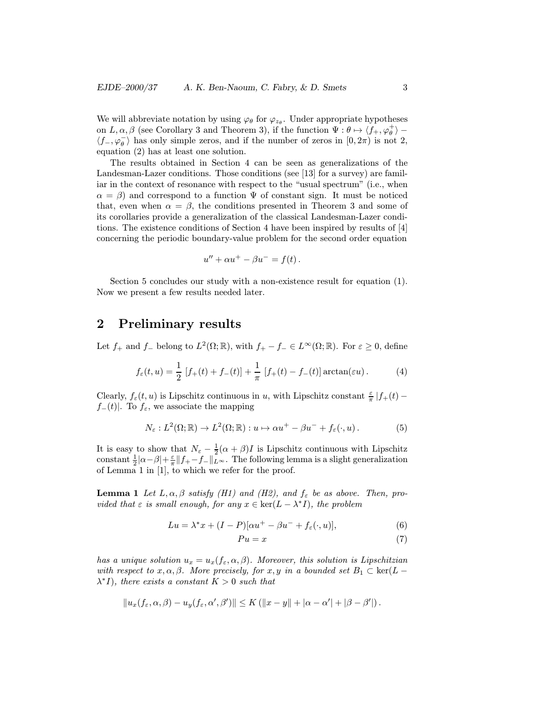We will abbreviate notation by using  $\varphi_{\theta}$  for  $\varphi_{z_{\theta}}$ . Under appropriate hypotheses on  $L, \alpha, \beta$  (see Corollary 3 and Theorem 3), if the function  $\Psi: \theta \mapsto \langle f_+, \varphi_\theta^+ \rangle$  $\langle f_-, \varphi_\theta^- \rangle$  has only simple zeros, and if the number of zeros in  $[0, 2\pi)$  is not 2, equation (2) has at least one solution.

The results obtained in Section 4 can be seen as generalizations of the Landesman-Lazer conditions. Those conditions (see [13] for a survey) are familiar in the context of resonance with respect to the "usual spectrum" (i.e., when  $\alpha = \beta$  and correspond to a function  $\Psi$  of constant sign. It must be noticed that, even when  $\alpha = \beta$ , the conditions presented in Theorem 3 and some of its corollaries provide a generalization of the classical Landesman-Lazer conditions. The existence conditions of Section 4 have been inspired by results of [4] concerning the periodic boundary-value problem for the second order equation

$$
u'' + \alpha u^{+} - \beta u^{-} = f(t) .
$$

Section 5 concludes our study with a non-existence result for equation (1). Now we present a few results needed later.

#### 2 Preliminary results

Let  $f_+$  and  $f_-$  belong to  $L^2(\Omega;\mathbb{R})$ , with  $f_+ - f_- \in L^\infty(\Omega;\mathbb{R})$ . For  $\varepsilon \geq 0$ , define

$$
f_{\varepsilon}(t, u) = \frac{1}{2} [f_{+}(t) + f_{-}(t)] + \frac{1}{\pi} [f_{+}(t) - f_{-}(t)] \arctan(\varepsilon u).
$$
 (4)

Clearly,  $f_{\varepsilon}(t, u)$  is Lipschitz continuous in u, with Lipschitz constant  $\frac{\varepsilon}{\pi} |f_{+}(t)$  $f_-(t)$ . To  $f_\varepsilon$ , we associate the mapping

$$
N_{\varepsilon}: L^{2}(\Omega; \mathbb{R}) \to L^{2}(\Omega; \mathbb{R}): u \mapsto \alpha u^{+} - \beta u^{-} + f_{\varepsilon}(\cdot, u).
$$
 (5)

It is easy to show that  $N_{\varepsilon} - \frac{1}{2}(\alpha + \beta)I$  is Lipschitz continuous with Lipschitz constant  $\frac{1}{2}|\alpha-\beta|+\frac{\varepsilon}{\pi}||f_+-f_-\Vert_{L^\infty}$ . The following lemma is a slight generalization of Lemma 1 in [1], to which we refer for the proof.

**Lemma 1** Let  $L, \alpha, \beta$  satisfy (H1) and (H2), and  $f_{\varepsilon}$  be as above. Then, provided that  $\varepsilon$  is small enough, for any  $x \in \text{ker}(L - \lambda^* I)$ , the problem

$$
Lu = \lambda^* x + (I - P)[\alpha u^+ - \beta u^- + f_\varepsilon(\cdot, u)],\tag{6}
$$

$$
Pu = x \tag{7}
$$

has a unique solution  $u_x = u_x(f_\varepsilon, \alpha, \beta)$ . Moreover, this solution is Lipschitzian with respect to  $x, \alpha, \beta$ . More precisely, for  $x, y$  in a bounded set  $B_1 \subset \text{ker}(L \lambda^* I$ , there exists a constant  $K > 0$  such that

$$
||u_x(f_{\varepsilon}, \alpha, \beta) - u_y(f_{\varepsilon}, \alpha', \beta')|| \le K (||x - y|| + |\alpha - \alpha'| + |\beta - \beta'|).
$$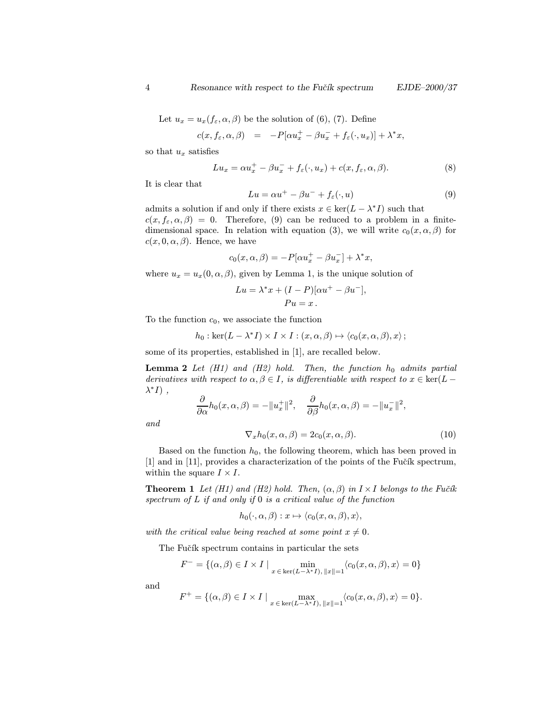Let  $u_x = u_x(f_\varepsilon, \alpha, \beta)$  be the solution of (6), (7). Define

$$
c(x, f_{\varepsilon}, \alpha, \beta) = -P[\alpha u_x^+ - \beta u_x^- + f_{\varepsilon}(\cdot, u_x)] + \lambda^* x,
$$

so that  $u_x$  satisfies

$$
Lu_x = \alpha u_x^+ - \beta u_x^- + f_{\varepsilon}(\cdot, u_x) + c(x, f_{\varepsilon}, \alpha, \beta).
$$
 (8)

It is clear that

$$
Lu = \alpha u^+ - \beta u^- + f_\varepsilon(\cdot, u) \tag{9}
$$

admits a solution if and only if there exists  $x \in \text{ker}(L - \lambda^* I)$  such that  $c(x, f_{\varepsilon}, \alpha, \beta) = 0$ . Therefore, (9) can be reduced to a problem in a finitedimensional space. In relation with equation (3), we will write  $c_0(x, \alpha, \beta)$  for  $c(x, 0, \alpha, \beta)$ . Hence, we have

$$
c_0(x, \alpha, \beta) = -P[\alpha u_x^+ - \beta u_x^-] + \lambda^* x,
$$

where  $u_x = u_x(0, \alpha, \beta)$ , given by Lemma 1, is the unique solution of

$$
Lu = \lambda^* x + (I - P)[\alpha u^+ - \beta u^-],
$$
  
\n
$$
Pu = x.
$$

To the function  $c_0$ , we associate the function

$$
h_0: \ker(L-\lambda^*I)\times I\times I:(x,\alpha,\beta)\mapsto \langle c_0(x,\alpha,\beta),x\rangle\,;
$$

some of its properties, established in [1], are recalled below.

**Lemma 2** Let  $(H1)$  and  $(H2)$  hold. Then, the function  $h_0$  admits partial derivatives with respect to  $\alpha, \beta \in I$ , is differentiable with respect to  $x \in \text{ker}(L - I)$  $\lambda^* I$ ),

$$
\frac{\partial}{\partial \alpha} h_0(x, \alpha, \beta) = -\|u_x^+\|^2, \quad \frac{\partial}{\partial \beta} h_0(x, \alpha, \beta) = -\|u_x^-\|^2,
$$

and

$$
\nabla_x h_0(x, \alpha, \beta) = 2c_0(x, \alpha, \beta). \tag{10}
$$

Based on the function  $h_0$ , the following theorem, which has been proved in  $[1]$  and in  $[11]$ , provides a characterization of the points of the Fučík spectrum, within the square  $I \times I$ .

**Theorem 1** Let (H1) and (H2) hold. Then,  $(\alpha, \beta)$  in  $I \times I$  belongs to the Fučík spectrum of  $L$  if and only if  $0$  is a critical value of the function

$$
h_0(\cdot,\alpha,\beta): x \mapsto \langle c_0(x,\alpha,\beta), x \rangle,
$$

with the critical value being reached at some point  $x \neq 0$ .

The Fučík spectrum contains in particular the sets

$$
F^- = \{(\alpha, \beta) \in I \times I \mid \min_{x \in \ker(L-\lambda^*I), ||x|| = 1} \langle c_0(x, \alpha, \beta), x \rangle = 0\}
$$

and

$$
F^+ = \{(\alpha, \beta) \in I \times I \mid \max_{x \in \ker(L - \lambda^* I), ||x|| = 1} \langle c_0(x, \alpha, \beta), x \rangle = 0\}.
$$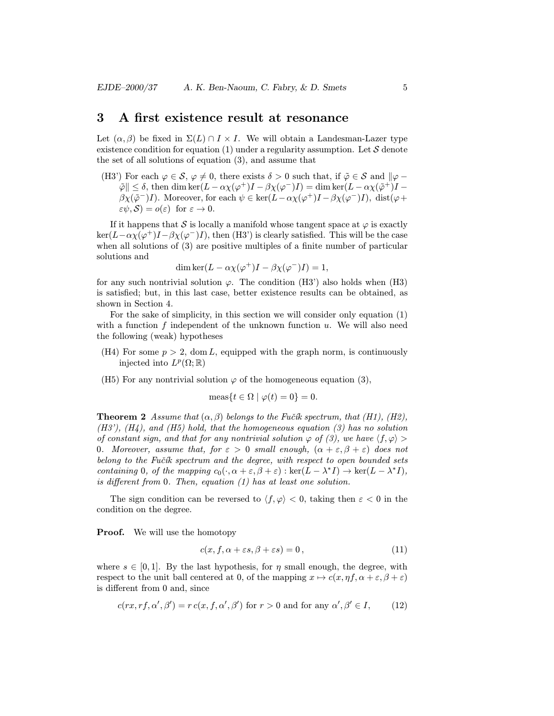#### 3 A first existence result at resonance

Let  $(\alpha, \beta)$  be fixed in  $\Sigma(L) \cap I \times I$ . We will obtain a Landesman-Lazer type existence condition for equation (1) under a regularity assumption. Let  $S$  denote the set of all solutions of equation (3), and assume that

(H3') For each  $\varphi \in \mathcal{S}, \varphi \neq 0$ , there exists  $\delta > 0$  such that, if  $\tilde{\varphi} \in \mathcal{S}$  and  $\|\varphi - \varphi\|$  $\|\tilde{\varphi}\| \leq \delta$ , then dim ker $(L - \alpha \chi(\varphi^+)I - \beta \chi(\varphi^-)I) = \dim \ker(L - \alpha \chi(\tilde{\varphi}^+)I \beta \chi(\tilde{\varphi}^-)I$ ). Moreover, for each  $\psi \in \ker(L-\alpha \chi(\varphi^+)I-\beta \chi(\varphi^-)I)$ , dist $(\varphi +$  $\varepsilon\psi, \mathcal{S}$ ) =  $o(\varepsilon)$  for  $\varepsilon \to 0$ .

If it happens that S is locally a manifold whose tangent space at  $\varphi$  is exactly  $\ker(L-\alpha\chi(\varphi^+)I-\beta\chi(\varphi^-)I)$ , then (H3') is clearly satisfied. This will be the case when all solutions of (3) are positive multiples of a finite number of particular solutions and

$$
\dim \ker(L - \alpha \chi(\varphi^+)I - \beta \chi(\varphi^-)I) = 1,
$$

for any such nontrivial solution  $\varphi$ . The condition (H3') also holds when (H3) is satisfied; but, in this last case, better existence results can be obtained, as shown in Section 4.

For the sake of simplicity, in this section we will consider only equation (1) with a function  $f$  independent of the unknown function  $u$ . We will also need the following (weak) hypotheses

- (H4) For some  $p > 2$ , dom L, equipped with the graph norm, is continuously injected into  $L^p(\Omega;\mathbb{R})$
- (H5) For any nontrivial solution  $\varphi$  of the homogeneous equation (3),

$$
\text{meas}\{t \in \Omega \mid \varphi(t) = 0\} = 0.
$$

**Theorem 2** Assume that  $(\alpha, \beta)$  belongs to the Fučík spectrum, that (H1), (H2),  $(H3')$ ,  $(H4)$ , and  $(H5)$  hold, that the homogeneous equation (3) has no solution of constant sign, and that for any nontrivial solution  $\varphi$  of (3), we have  $\langle f, \varphi \rangle$ 0. Moreover, assume that, for  $\varepsilon > 0$  small enough,  $(\alpha + \varepsilon, \beta + \varepsilon)$  does not belong to the Fučík spectrum and the degree, with respect to open bounded sets containing 0, of the mapping  $c_0(\cdot, \alpha + \varepsilon, \beta + \varepsilon) : \ker(L - \lambda^* I) \to \ker(L - \lambda^* I),$ is different from 0. Then, equation (1) has at least one solution.

The sign condition can be reversed to  $\langle f, \varphi \rangle < 0$ , taking then  $\varepsilon < 0$  in the condition on the degree.

**Proof.** We will use the homotopy

$$
c(x, f, \alpha + \varepsilon s, \beta + \varepsilon s) = 0, \qquad (11)
$$

where  $s \in [0, 1]$ . By the last hypothesis, for  $\eta$  small enough, the degree, with respect to the unit ball centered at 0, of the mapping  $x \mapsto c(x, \eta f, \alpha + \varepsilon, \beta + \varepsilon)$ is different from 0 and, since

$$
c(rx, rf, \alpha', \beta') = r c(x, f, \alpha', \beta') \text{ for } r > 0 \text{ and for any } \alpha', \beta' \in I,
$$
 (12)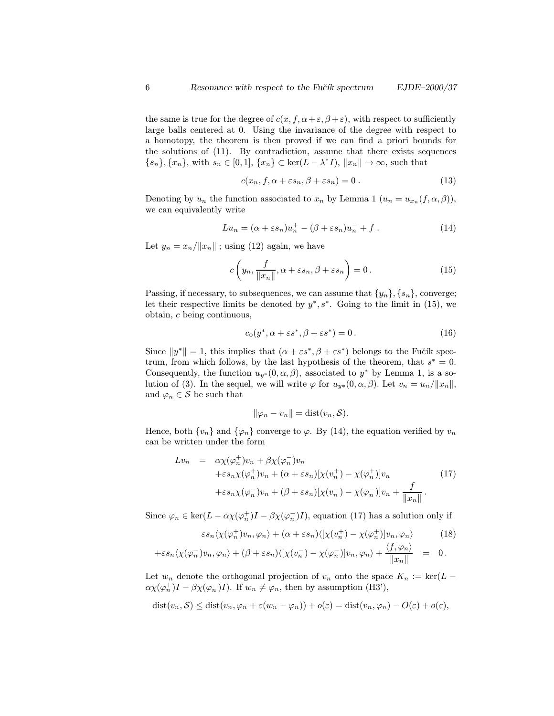the same is true for the degree of  $c(x, f, \alpha + \varepsilon, \beta + \varepsilon)$ , with respect to sufficiently large balls centered at 0. Using the invariance of the degree with respect to a homotopy, the theorem is then proved if we can find a priori bounds for the solutions of (11). By contradiction, assume that there exists sequences  ${s_n}, {x_n},$  with  $s_n \in [0,1], {x_n} \subset \text{ker}(L - \lambda^* I), ||x_n|| \to \infty$ , such that

$$
c(x_n, f, \alpha + \varepsilon s_n, \beta + \varepsilon s_n) = 0.
$$
\n(13)

Denoting by  $u_n$  the function associated to  $x_n$  by Lemma 1  $(u_n = u_{x_n}(f, \alpha, \beta)),$ we can equivalently write

$$
Lu_n = (\alpha + \varepsilon s_n)u_n^+ - (\beta + \varepsilon s_n)u_n^- + f.
$$
 (14)

Let  $y_n = x_n / ||x_n||$ ; using (12) again, we have

$$
c\left(y_n, \frac{f}{\|x_n\|}, \alpha + \varepsilon s_n, \beta + \varepsilon s_n\right) = 0.
$$
 (15)

Passing, if necessary, to subsequences, we can assume that  $\{y_n\}, \{s_n\}$ , converge; let their respective limits be denoted by  $y^*, s^*$ . Going to the limit in (15), we obtain, c being continuous,

$$
c_0(y^*, \alpha + \varepsilon s^*, \beta + \varepsilon s^*) = 0.
$$
 (16)

Since  $||y^*|| = 1$ , this implies that  $(\alpha + \varepsilon s^*, \beta + \varepsilon s^*)$  belongs to the Fučík spectrum, from which follows, by the last hypothesis of the theorem, that  $s^* = 0$ . Consequently, the function  $u_{y*}(0, \alpha, \beta)$ , associated to  $y^*$  by Lemma 1, is a solution of (3). In the sequel, we will write  $\varphi$  for  $u_{y*}(0, \alpha, \beta)$ . Let  $v_n = u_n/||x_n||$ , and  $\varphi_n \in \mathcal{S}$  be such that

$$
\|\varphi_n - v_n\| = \text{dist}(v_n, \mathcal{S}).
$$

Hence, both  $\{v_n\}$  and  $\{\varphi_n\}$  converge to  $\varphi$ . By (14), the equation verified by  $v_n$ can be written under the form

$$
Lv_n = \alpha \chi(\varphi_n^+) v_n + \beta \chi(\varphi_n^-) v_n
$$
  
+ $\varepsilon s_n \chi(\varphi_n^+) v_n + (\alpha + \varepsilon s_n) [\chi(v_n^+) - \chi(\varphi_n^+)] v_n$   
+ $\varepsilon s_n \chi(\varphi_n^-) v_n + (\beta + \varepsilon s_n) [\chi(v_n^-) - \chi(\varphi_n^-)] v_n + \frac{f}{\|x_n\|}.$  (17)

Since  $\varphi_n \in \ker(L - \alpha \chi(\varphi_n^+)I - \beta \chi(\varphi_n^-)I)$ , equation (17) has a solution only if

$$
\varepsilon s_n \langle \chi(\varphi_n^+) v_n, \varphi_n \rangle + (\alpha + \varepsilon s_n) \langle [\chi(v_n^+) - \chi(\varphi_n^+) ] v_n, \varphi_n \rangle \qquad (18)
$$

$$
+ \varepsilon s_n \langle \chi(\varphi_n^-) v_n, \varphi_n \rangle + (\beta + \varepsilon s_n) \langle [\chi(v_n^-) - \chi(\varphi_n^-)] v_n, \varphi_n \rangle + \frac{\langle f, \varphi_n \rangle}{\|x_n\|} = 0.
$$

Let  $w_n$  denote the orthogonal projection of  $v_n$  onto the space  $K_n := \text{ker}(L \alpha \chi(\varphi_n^+)I - \beta \chi(\varphi_n^-)I$ . If  $w_n \neq \varphi_n$ , then by assumption (H3'),

$$
dist(v_n, S) \leq dist(v_n, \varphi_n + \varepsilon (w_n - \varphi_n)) + o(\varepsilon) = dist(v_n, \varphi_n) - O(\varepsilon) + o(\varepsilon),
$$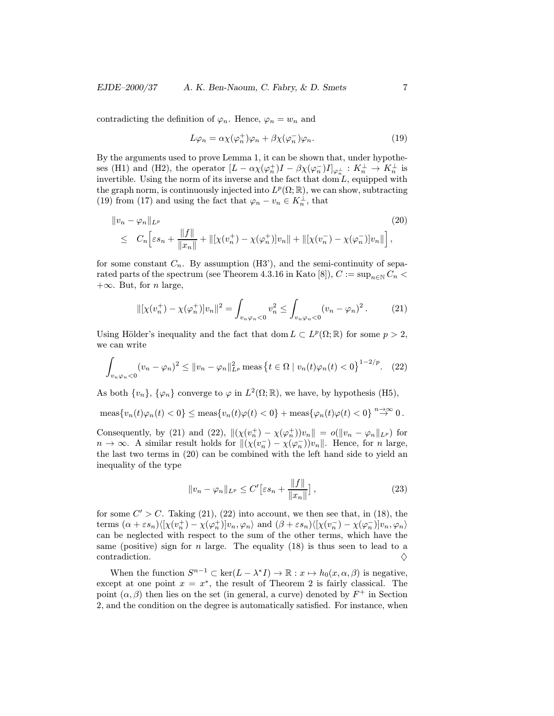contradicting the definition of  $\varphi_n$ . Hence,  $\varphi_n = w_n$  and

$$
L\varphi_n = \alpha \chi(\varphi_n^+) \varphi_n + \beta \chi(\varphi_n^-) \varphi_n. \tag{19}
$$

By the arguments used to prove Lemma 1, it can be shown that, under hypotheses (H1) and (H2), the operator  $[L - \alpha \chi(\varphi_n^+)I - \beta \chi(\varphi_n^-)I]_{\varphi_n}$ :  $K_n^{\perp} \to K_n^{\perp}$  is invertible. Using the norm of its inverse and the fact that  $\text{dom } L$ , equipped with the graph norm, is continuously injected into  $L^p(\Omega;\mathbb{R})$ , we can show, subtracting (19) from (17) and using the fact that  $\varphi_n - v_n \in K_n^{\perp}$ , that

$$
||v_n - \varphi_n||_{L^p}
$$
\n
$$
\leq C_n \Big[ \varepsilon s_n + \frac{||f||}{||x_n||} + ||[\chi(v_n^+) - \chi(\varphi_n^+)]v_n|| + ||[\chi(v_n^-) - \chi(\varphi_n^-)]v_n|| \Big],
$$
\n(20)

for some constant  $C_n$ . By assumption (H3'), and the semi-continuity of separated parts of the spectrum (see Theorem 4.3.16 in Kato [8]),  $C := \sup_{n \in \mathbb{N}} C_n$  $+\infty$ . But, for *n* large,

$$
\|[\chi(v_n^+) - \chi(\varphi_n^+)]v_n\|^2 = \int_{v_n\varphi_n < 0} v_n^2 \le \int_{v_n\varphi_n < 0} (v_n - \varphi_n)^2. \tag{21}
$$

Using Hölder's inequality and the fact that dom  $L \subset L^p(\Omega; \mathbb{R})$  for some  $p > 2$ , we can write

$$
\int_{v_n\varphi_n<0}(v_n-\varphi_n)^2\leq ||v_n-\varphi_n||_{L^p}^2\,\text{meas}\,\big\{t\in\Omega\mid v_n(t)\varphi_n(t)<0\big\}^{1-2/p}.\tag{22}
$$

As both  $\{v_n\}$ ,  $\{\varphi_n\}$  converge to  $\varphi$  in  $L^2(\Omega;\mathbb{R})$ , we have, by hypothesis (H5),

$$
\operatorname{meas}\{v_n(t)\varphi_n(t) < 0\} \le \operatorname{meas}\{v_n(t)\varphi(t) < 0\} + \operatorname{meas}\{\varphi_n(t)\varphi(t) < 0\} \stackrel{n \to \infty}{\to} 0.
$$

Consequently, by (21) and (22),  $\|(\chi(v_n^+) - \chi(\varphi_n^+))v_n\| = o(\|v_n - \varphi_n\|_{L^p})$  for  $n \to \infty$ . A similar result holds for  $\|(\chi(v_n^-) - \chi(\varphi_n^-))v_n\|$ . Hence, for n large, the last two terms in (20) can be combined with the left hand side to yield an inequality of the type

$$
||v_n - \varphi_n||_{L^p} \le C' \left[\varepsilon s_n + \frac{||f||}{||x_n||}\right],\tag{23}
$$

for some  $C' > C$ . Taking (21), (22) into account, we then see that, in (18), the terms  $(\alpha + \varepsilon s_n) \langle [\chi(v_n^+) - \chi(\varphi_n^+)] v_n, \varphi_n \rangle$  and  $(\beta + \varepsilon s_n) \langle [\chi(v_n^-) - \chi(\varphi_n^-)] v_n, \varphi_n \rangle$ can be neglected with respect to the sum of the other terms, which have the same (positive) sign for *n* large. The equality  $(18)$  is thus seen to lead to a contradiction.  $\diamondsuit$ 

When the function  $S^{n-1} \subset \text{ker}(L - \lambda^* I) \to \mathbb{R} : x \mapsto h_0(x, \alpha, \beta)$  is negative, except at one point  $x = x^*$ , the result of Theorem 2 is fairly classical. The point  $(\alpha, \beta)$  then lies on the set (in general, a curve) denoted by  $F^+$  in Section 2, and the condition on the degree is automatically satisfied. For instance, when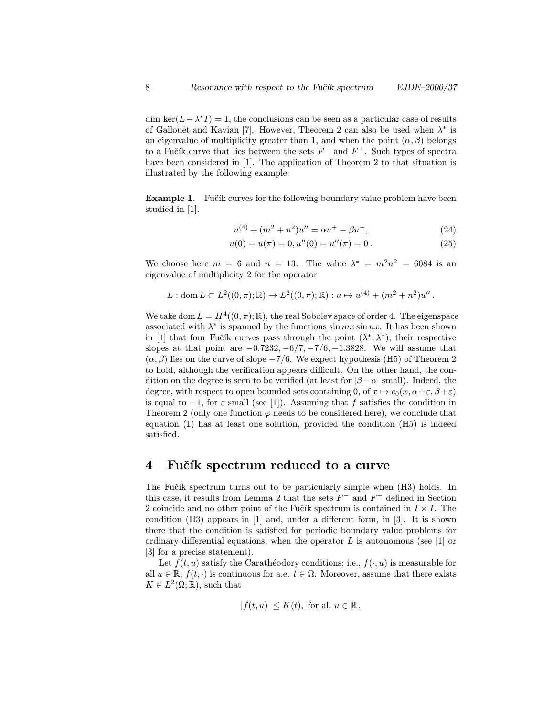dim ker( $L-\lambda^*I$ ) = 1, the conclusions can be seen as a particular case of results of Gallouët and Kavian [7]. However, Theorem 2 can also be used when  $\lambda^*$  is an eigenvalue of multiplicity greater than 1, and when the point  $(\alpha, \beta)$  belongs to a Fučík curve that lies between the sets  $F^-$  and  $F^+$ . Such types of spectra have been considered in [1]. The application of Theorem 2 to that situation is illustrated by the following example.

**Example 1.** Fučík curves for the following boundary value problem have been studied in [1].

$$
u^{(4)} + (m^2 + n^2)u'' = \alpha u^+ - \beta u^-, \tag{24}
$$

$$
u(0) = u(\pi) = 0, u''(0) = u''(\pi) = 0.
$$
\n(25)

We choose here  $m = 6$  and  $n = 13$ . The value  $\lambda^* = m^2 n^2 = 6084$  is an eigenvalue of multiplicity 2 for the operator

$$
L: \text{dom } L \subset L^2((0,\pi);\mathbb{R}) \to L^2((0,\pi);\mathbb{R}): u \mapsto u^{(4)} + (m^2 + n^2)u''.
$$

We take dom  $L = H^4((0, \pi); \mathbb{R})$ , the real Sobolev space of order 4. The eigenspace associated with  $\lambda^*$  is spanned by the functions sin mx sin nx. It has been shown in [1] that four Fučík curves pass through the point  $(\lambda^*, \lambda^*)$ ; their respective slopes at that point are  $-0.7232, -6/7, -7/6, -1.3828$ . We will assume that  $(\alpha, \beta)$  lies on the curve of slope  $-7/6$ . We expect hypothesis (H5) of Theorem 2 to hold, although the verification appears difficult. On the other hand, the condition on the degree is seen to be verified (at least for  $|\beta-\alpha|$  small). Indeed, the degree, with respect to open bounded sets containing 0, of  $x \mapsto c_0(x, \alpha + \varepsilon, \beta + \varepsilon)$ is equal to  $-1$ , for  $\varepsilon$  small (see [1]). Assuming that f satisfies the condition in Theorem 2 (only one function  $\varphi$  needs to be considered here), we conclude that equation (1) has at least one solution, provided the condition (H5) is indeed satisfied.

#### 4 Fučík spectrum reduced to a curve

The Fučík spectrum turns out to be particularly simple when (H3) holds. In this case, it results from Lemma 2 that the sets  $F^-$  and  $F^+$  defined in Section 2 coincide and no other point of the Fučík spectrum is contained in  $I \times I$ . The condition (H3) appears in [1] and, under a different form, in [3]. It is shown there that the condition is satisfied for periodic boundary value problems for ordinary differential equations, when the operator  $L$  is autonomous (see [1] or [3] for a precise statement).

Let  $f(t, u)$  satisfy the Carathéodory conditions; i.e.,  $f(\cdot, u)$  is measurable for all  $u \in \mathbb{R}$ ,  $f(t, \cdot)$  is continuous for a.e.  $t \in \Omega$ . Moreover, assume that there exists  $K \in L^2(\Omega;\mathbb{R})$ , such that

$$
|f(t, u)| \le K(t), \text{ for all } u \in \mathbb{R}.
$$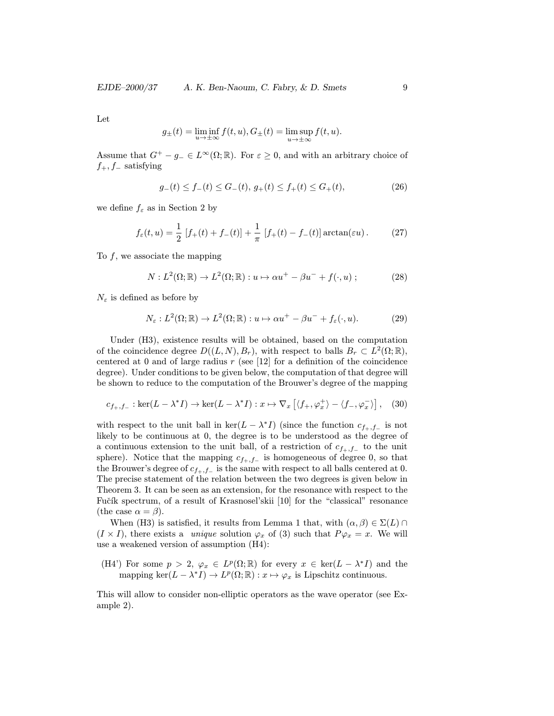Let

$$
g_{\pm}(t)=\liminf_{u\to\pm\infty}f(t,u),G_{\pm}(t)=\limsup_{u\to\pm\infty}f(t,u).
$$

Assume that  $G^+ - g_- \in L^{\infty}(\Omega;\mathbb{R})$ . For  $\varepsilon \geq 0$ , and with an arbitrary choice of  $f_+, f_-\text{ satisfying}$ 

$$
g_{-}(t) \le f_{-}(t) \le G_{-}(t), \ g_{+}(t) \le f_{+}(t) \le G_{+}(t), \tag{26}
$$

we define  $f_{\varepsilon}$  as in Section 2 by

$$
f_{\varepsilon}(t, u) = \frac{1}{2} [f_{+}(t) + f_{-}(t)] + \frac{1}{\pi} [f_{+}(t) - f_{-}(t)] \arctan(\varepsilon u).
$$
 (27)

To  $f$ , we associate the mapping

$$
N: L^{2}(\Omega; \mathbb{R}) \to L^{2}(\Omega; \mathbb{R}): u \mapsto \alpha u^{+} - \beta u^{-} + f(\cdot, u) ; \qquad (28)
$$

 $N_{\varepsilon}$  is defined as before by

$$
N_{\varepsilon}: L^{2}(\Omega; \mathbb{R}) \to L^{2}(\Omega; \mathbb{R}): u \mapsto \alpha u^{+} - \beta u^{-} + f_{\varepsilon}(\cdot, u). \tag{29}
$$

Under (H3), existence results will be obtained, based on the computation of the coincidence degree  $D((L, N), B_r)$ , with respect to balls  $B_r \subset L^2(\Omega; \mathbb{R}),$ centered at 0 and of large radius  $r$  (see [12] for a definition of the coincidence degree). Under conditions to be given below, the computation of that degree will be shown to reduce to the computation of the Brouwer's degree of the mapping

$$
c_{f_+,f_-}: \ker(L-\lambda^*I) \to \ker(L-\lambda^*I): x \mapsto \nabla_x \left[ \langle f_+, \varphi_x^+ \rangle - \langle f_-, \varphi_x^- \rangle \right], \quad (30)
$$

with respect to the unit ball in ker( $L - \lambda^* I$ ) (since the function  $c_{f_+,f_-}$  is not likely to be continuous at 0, the degree is to be understood as the degree of a continuous extension to the unit ball, of a restriction of  $c_{f_+,f_-}$  to the unit sphere). Notice that the mapping  $c_{f+,f-}$  is homogeneous of degree 0, so that the Brouwer's degree of  $c_{f_+,f_-}$  is the same with respect to all balls centered at 0. The precise statement of the relation between the two degrees is given below in Theorem 3. It can be seen as an extension, for the resonance with respect to the Fučík spectrum, of a result of Krasnosel'skii [10] for the "classical" resonance (the case  $\alpha = \beta$ ).

When (H3) is satisfied, it results from Lemma 1 that, with  $(\alpha, \beta) \in \Sigma(L) \cap$  $(I \times I)$ , there exists a *unique* solution  $\varphi_x$  of (3) such that  $P\varphi_x = x$ . We will use a weakened version of assumption (H4):

(H4') For some  $p > 2$ ,  $\varphi_x \in L^p(\Omega;\mathbb{R})$  for every  $x \in \text{ker}(L - \lambda^* I)$  and the mapping ker $(L - \lambda^* I) \to L^p(\Omega; \mathbb{R}) : x \mapsto \varphi_x$  is Lipschitz continuous.

This will allow to consider non-elliptic operators as the wave operator (see Example 2).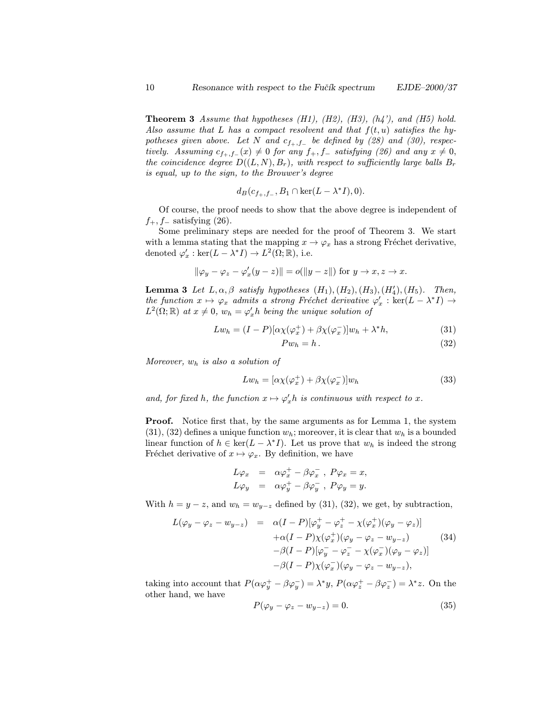**Theorem 3** Assume that hypotheses  $(H1)$ ,  $(H2)$ ,  $(H3)$ ,  $(h4')$ , and  $(H5)$  hold. Also assume that L has a compact resolvent and that  $f(t, u)$  satisfies the hypotheses given above. Let N and  $c_{f_+,f_-}$  be defined by (28) and (30), respectively. Assuming  $c_{f_+,f_-}(x) \neq 0$  for any  $f_+, f_-$  satisfying (26) and any  $x \neq 0$ , the coincidence degree  $D((L, N), B_r)$ , with respect to sufficiently large balls  $B_r$ is equal, up to the sign, to the Brouwer's degree

$$
d_B(c_{f_+,f_-}, B_1 \cap \ker(L - \lambda^* I), 0).
$$

Of course, the proof needs to show that the above degree is independent of  $f_+, f_-\text{ satisfying (26)}.$ 

Some preliminary steps are needed for the proof of Theorem 3. We start with a lemma stating that the mapping  $x \to \varphi_x$  has a strong Fréchet derivative, denoted  $\varphi'_x : \ker(L - \lambda^* I) \to L^2(\Omega; \mathbb{R})$ , i.e.

$$
\|\varphi_y - \varphi_z - \varphi'_x(y - z)\| = o(\|y - z\|) \text{ for } y \to x, z \to x.
$$

**Lemma 3** Let  $L, \alpha, \beta$  satisfy hypotheses  $(H_1), (H_2), (H_3), (H'_4), (H_5)$ . Then, the function  $x \mapsto \varphi_x$  admits a strong Fréchet derivative  $\varphi'_x : \text{ker}(L - \lambda^* I) \rightarrow$  $L^2(\Omega;\mathbb{R})$  at  $x \neq 0$ ,  $w_h = \varphi_x' h$  being the unique solution of

$$
Lw_h = (I - P)[\alpha \chi(\varphi_x^+) + \beta \chi(\varphi_x^-)]w_h + \lambda^* h, \tag{31}
$$

$$
Pw_h = h. \tag{32}
$$

Moreover,  $w_h$  is also a solution of

$$
Lw_h = [\alpha \chi(\varphi_x^+) + \beta \chi(\varphi_x^-)]w_h \tag{33}
$$

and, for fixed h, the function  $x \mapsto \varphi'_x h$  is continuous with respect to x.

**Proof.** Notice first that, by the same arguments as for Lemma 1, the system  $(31), (32)$  defines a unique function  $w<sub>h</sub>$ ; moreover, it is clear that  $w<sub>h</sub>$  is a bounded linear function of  $h \in \text{ker}(L - \lambda^* I)$ . Let us prove that  $w_h$  is indeed the strong Fréchet derivative of  $x \mapsto \varphi_x$ . By definition, we have

$$
L\varphi_x = \alpha \varphi_x^+ - \beta \varphi_x^-, P\varphi_x = x,
$$
  
\n
$$
L\varphi_y = \alpha \varphi_y^+ - \beta \varphi_y^-, P\varphi_y = y.
$$

With  $h = y - z$ , and  $w_h = w_{y-z}$  defined by (31), (32), we get, by subtraction,

$$
L(\varphi_y - \varphi_z - w_{y-z}) = \alpha (I - P)[\varphi_y^+ - \varphi_z^+ - \chi(\varphi_x^+)(\varphi_y - \varphi_z)]
$$
  
+ 
$$
\alpha (I - P)\chi(\varphi_x^+)(\varphi_y - \varphi_z - w_{y-z})
$$
(34)  
- 
$$
\beta (I - P)[\varphi_y^- - \varphi_z^- - \chi(\varphi_x^-)(\varphi_y - \varphi_z)]
$$
  
- 
$$
\beta (I - P)\chi(\varphi_x^-)(\varphi_y - \varphi_z - w_{y-z}),
$$

taking into account that  $P(\alpha \varphi_y^+ - \beta \varphi_y^-) = \lambda^* y$ ,  $P(\alpha \varphi_z^+ - \beta \varphi_z^-) = \lambda^* z$ . On the other hand, we have

$$
P(\varphi_y - \varphi_z - w_{y-z}) = 0. \tag{35}
$$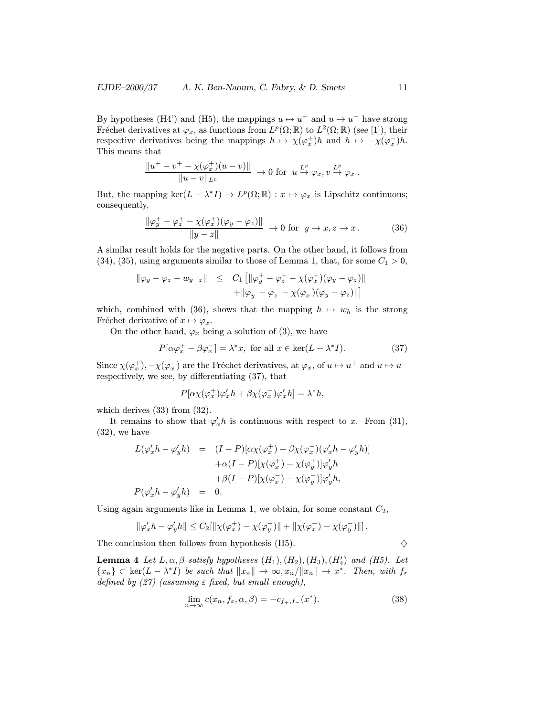By hypotheses (H4') and (H5), the mappings  $u \mapsto u^+$  and  $u \mapsto u^-$  have strong Fréchet derivatives at  $\varphi_x$ , as functions from  $L^p(\Omega;\mathbb{R})$  to  $L^2(\Omega;\mathbb{R})$  (see [1]), their respective derivatives being the mappings  $h \mapsto \chi(\varphi_x^+)h$  and  $h \mapsto -\chi(\varphi_x^-)h$ . This means that

$$
\frac{\|u^+ - v^+ - \chi(\varphi_x^+)(u - v)\|}{\|u - v\|_{L^p}} \to 0 \text{ for } u \xrightarrow{L^p} \varphi_x, v \xrightarrow{L^p} \varphi_x.
$$

But, the mapping ker $(L - \lambda^* I) \to L^p(\Omega; \mathbb{R}) : x \mapsto \varphi_x$  is Lipschitz continuous; consequently,

$$
\frac{\|\varphi_y^+ - \varphi_z^+ - \chi(\varphi_x^+) (\varphi_y - \varphi_z)\|}{\|y - z\|} \to 0 \text{ for } y \to x, z \to x. \tag{36}
$$

A similar result holds for the negative parts. On the other hand, it follows from  $(34)$ ,  $(35)$ , using arguments similar to those of Lemma 1, that, for some  $C_1 > 0$ ,

$$
\|\varphi_y - \varphi_z - w_{y-z}\| \leq C_1 \left[ \|\varphi_y^+ - \varphi_z^+ - \chi(\varphi_x^+) (\varphi_y - \varphi_z) \right] + \|\varphi_y^- - \varphi_z^- - \chi(\varphi_x^-) (\varphi_y - \varphi_z) \|\right]
$$

which, combined with (36), shows that the mapping  $h \mapsto w_h$  is the strong Fréchet derivative of  $x \mapsto \varphi_x$ .

On the other hand,  $\varphi_x$  being a solution of (3), we have

$$
P[\alpha \varphi_x^+ - \beta \varphi_x^-] = \lambda^* x, \text{ for all } x \in \text{ker}(L - \lambda^* I). \tag{37}
$$

Since  $\chi(\varphi_x^+), -\chi(\varphi_x^-)$  are the Fréchet derivatives, at  $\varphi_x$ , of  $u \mapsto u^+$  and  $u \mapsto u^$ respectively, we see, by differentiating (37), that

$$
P[\alpha \chi(\varphi_x^+) \varphi_x' h + \beta \chi(\varphi_x^-) \varphi_x' h] = \lambda^* h,
$$

which derives  $(33)$  from  $(32)$ .

It remains to show that  $\varphi'_x h$  is continuous with respect to x. From (31), (32), we have

$$
L(\varphi'_x h - \varphi'_y h) = (I - P)[\alpha \chi(\varphi_x^+) + \beta \chi(\varphi_x^-)(\varphi'_x h - \varphi'_y h)]
$$
  

$$
+ \alpha (I - P)[\chi(\varphi_x^+) - \chi(\varphi_y^+)]\varphi'_y h
$$
  

$$
+ \beta (I - P)[\chi(\varphi_x^-) - \chi(\varphi_y^-)]\varphi'_y h,
$$
  

$$
P(\varphi'_x h - \varphi'_y h) = 0.
$$

Using again arguments like in Lemma 1, we obtain, for some constant  $C_2$ ,

$$
\|\varphi_x' h - \varphi_y' h\| \le C_2 [\|\chi(\varphi_x^+) - \chi(\varphi_y^+)\| + \|\chi(\varphi_x^-) - \chi(\varphi_y^-)\|].
$$

The conclusion then follows from hypothesis (H5).  $\diamond$ 

**Lemma 4** Let  $L, \alpha, \beta$  satisfy hypotheses  $(H_1), (H_2), (H_3), (H'_4)$  and  $(H5)$ . Let  ${x_n} \subset \text{ker}(L - \lambda^* I)$  be such that  $||x_n|| \to \infty, x_n/||x_n|| \to x^*$ . Then, with  $f_{\varepsilon}$ defined by  $(27)$  (assuming  $\varepsilon$  fixed, but small enough),

$$
\lim_{n \to \infty} c(x_n, f_{\varepsilon}, \alpha, \beta) = -c_{f_+, f_-}(x^*). \tag{38}
$$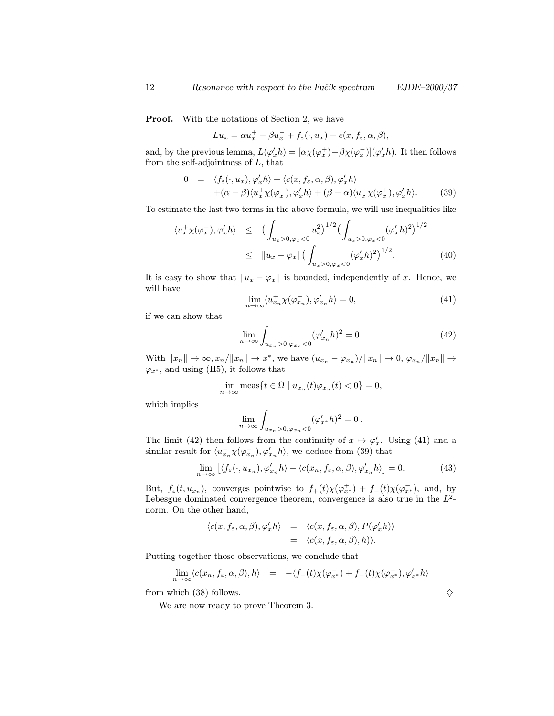**Proof.** With the notations of Section 2, we have

$$
Lu_x = \alpha u_x^+ - \beta u_x^- + f_{\varepsilon}(\cdot, u_x) + c(x, f_{\varepsilon}, \alpha, \beta),
$$

and, by the previous lemma,  $L(\varphi_x' h) = [\alpha \chi(\varphi_x^+) + \beta \chi(\varphi_x^-)](\varphi_x' h)$ . It then follows from the self-adjointness of  $L$ , that

$$
0 = \langle f_{\varepsilon}(\cdot, u_x), \varphi'_x h \rangle + \langle c(x, f_{\varepsilon}, \alpha, \beta), \varphi'_x h \rangle + (\alpha - \beta) \langle u_x^+ \chi(\varphi_x^-), \varphi'_x h \rangle + (\beta - \alpha) \langle u_x^- \chi(\varphi_x^+), \varphi'_x h \rangle.
$$
 (39)

To estimate the last two terms in the above formula, we will use inequalities like

$$
\langle u_x^+ \chi(\varphi_x^-), \varphi_x' h \rangle \le \left( \int_{u_x > 0, \varphi_x < 0} u_x^2 \right)^{1/2} \left( \int_{u_x > 0, \varphi_x < 0} (\varphi_x' h)^2 \right)^{1/2} \le \| u_x - \varphi_x \| \left( \int_{u_x > 0, \varphi_x < 0} (\varphi_x' h)^2 \right)^{1/2} . \tag{40}
$$

It is easy to show that  $||u_x - \varphi_x||$  is bounded, independently of x. Hence, we will have

$$
\lim_{n \to \infty} \langle u_{x_n}^+ \chi(\varphi_{x_n}^-), \varphi_{x_n}' h \rangle = 0, \tag{41}
$$

if we can show that

$$
\lim_{n \to \infty} \int_{u_{x_n} > 0, \varphi_{x_n} < 0} (\varphi'_{x_n} h)^2 = 0.
$$
 (42)

With  $||x_n|| \to \infty$ ,  $x_n/||x_n|| \to x^*$ , we have  $(u_{x_n} - \varphi_{x_n})/||x_n|| \to 0$ ,  $\varphi_{x_n}/||x_n|| \to 0$  $\varphi_{x^*}$ , and using (H5), it follows that

$$
\lim_{n \to \infty} \operatorname{meas} \{ t \in \Omega \mid u_{x_n}(t) \varphi_{x_n}(t) < 0 \} = 0,
$$

which implies

$$
\lim_{n\to\infty}\int_{u_{x_n}>0, \varphi_{x_n}<0}(\varphi_{x^*}'h)^2=0.
$$

The limit (42) then follows from the continuity of  $x \mapsto \varphi'_x$ . Using (41) and a similar result for  $\langle u_{x_n}^-\chi(\varphi_{x_n}^+), \varphi_{x_n}^\prime h\rangle$ , we deduce from (39) that

$$
\lim_{n \to \infty} \left[ \langle f_{\varepsilon}(\cdot, u_{x_n}), \varphi'_{x_n} h \rangle + \langle c(x_n, f_{\varepsilon}, \alpha, \beta), \varphi'_{x_n} h \rangle \right] = 0. \tag{43}
$$

But,  $f_{\varepsilon}(t, u_{x_n})$ , converges pointwise to  $f_{+}(t)\chi(\varphi_{x^*}^+) + f_{-}(t)\chi(\varphi_{x^*}^-)$ , and, by Lebesgue dominated convergence theorem, convergence is also true in the  $L^2$ norm. On the other hand,

$$
\langle c(x, f_{\varepsilon}, \alpha, \beta), \varphi'_x h \rangle = \langle c(x, f_{\varepsilon}, \alpha, \beta), P(\varphi'_x h) \rangle = \langle c(x, f_{\varepsilon}, \alpha, \beta), h \rangle.
$$

Putting together those observations, we conclude that

$$
\lim_{n\to\infty} \langle c(x_n, f_\varepsilon, \alpha, \beta), h \rangle = -\langle f_+(t) \chi(\varphi_{x^*}^+) + f_-(t) \chi(\varphi_{x^*}^-), \varphi_{x^*}' h \rangle
$$

from which (38) follows.  $\diamondsuit$ 

We are now ready to prove Theorem 3.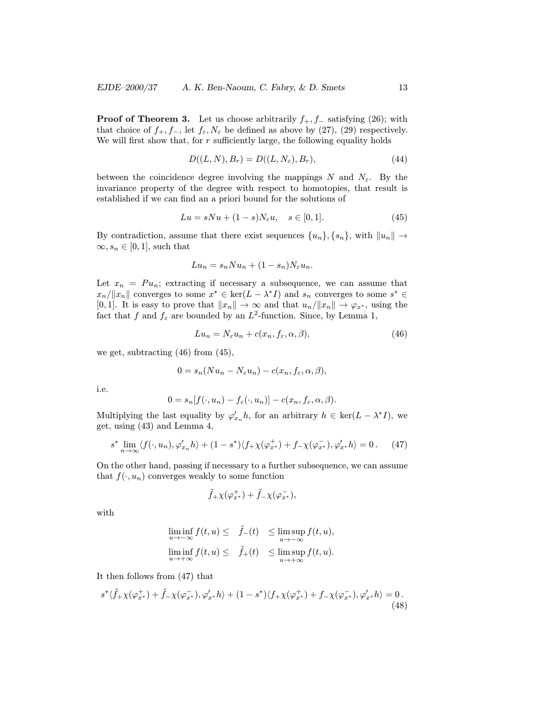**Proof of Theorem 3.** Let us choose arbitrarily  $f_+, f_-$  satisfying (26); with that choice of  $f_+, f_-,$  let  $f_{\varepsilon}, N_{\varepsilon}$  be defined as above by (27), (29) respectively. We will first show that, for  $r$  sufficiently large, the following equality holds

$$
D((L, N), B_r) = D((L, N_{\varepsilon}), B_r), \qquad (44)
$$

between the coincidence degree involving the mappings N and  $N_{\varepsilon}$ . By the invariance property of the degree with respect to homotopies, that result is established if we can find an a priori bound for the solutions of

$$
Lu = sNu + (1 - s)N_{\varepsilon}u, \quad s \in [0, 1].
$$
\n
$$
(45)
$$

By contradiction, assume that there exist sequences  $\{u_n\}, \{s_n\}$ , with  $||u_n|| \to$  $\infty, s_n \in [0, 1]$ , such that

$$
Lu_n = s_n Nu_n + (1 - s_n)N_{\varepsilon} u_n.
$$

Let  $x_n = Pu_n$ ; extracting if necessary a subsequence, we can assume that  $x_n/||x_n||$  converges to some  $x^* \in \text{ker}(L - \lambda^* I)$  and  $s_n$  converges to some  $s^* \in$ [0, 1]. It is easy to prove that  $||x_n|| \to \infty$  and that  $u_n/||x_n|| \to \varphi_{x^*}$ , using the fact that f and  $f_{\varepsilon}$  are bounded by an  $L^2$ -function. Since, by Lemma 1,

$$
Lu_n = N_{\varepsilon}u_n + c(x_n, f_{\varepsilon}, \alpha, \beta), \tag{46}
$$

we get, subtracting (46) from (45),

$$
0 = s_n(Nu_n - N_{\varepsilon}u_n) - c(x_n, f_{\varepsilon}, \alpha, \beta),
$$

i.e.

$$
0 = s_n[f(\cdot, u_n) - f_{\varepsilon}(\cdot, u_n)] - c(x_n, f_{\varepsilon}, \alpha, \beta).
$$

Multiplying the last equality by  $\varphi'_{x_n}h$ , for an arbitrary  $h \in \text{ker}(L - \lambda^* I)$ , we get, using (43) and Lemma 4,

$$
s^* \lim_{n \to \infty} \langle f(\cdot, u_n), \varphi'_{x_n} h \rangle + (1 - s^*) \langle f_+ \chi(\varphi_{x^*}^+) + f_- \chi(\varphi_{x^*}^-), \varphi'_{x^*} h \rangle = 0. \tag{47}
$$

On the other hand, passing if necessary to a further subsequence, we can assume that  $f(\cdot, u_n)$  converges weakly to some function

$$
\tilde{f}_+ \chi(\varphi_{x^*}^+) + \tilde{f}_- \chi(\varphi_{x^*}^-),
$$

with

$$
\liminf_{u \to -\infty} f(t, u) \leq \tilde{f}_-(t) \leq \limsup_{u \to -\infty} f(t, u),
$$
  

$$
\liminf_{u \to +\infty} f(t, u) \leq \tilde{f}_+(t) \leq \limsup_{u \to +\infty} f(t, u).
$$

It then follows from (47) that

$$
s^*\langle \tilde{f}_+\chi(\varphi_{x^*}^+) + \tilde{f}_-\chi(\varphi_{x^*}^-), \varphi_{x^*}'h \rangle + (1 - s^*)\langle f_+\chi(\varphi_{x^*}^+) + f_-\chi(\varphi_{x^*}^-), \varphi_{x^*}'h \rangle = 0. \tag{48}
$$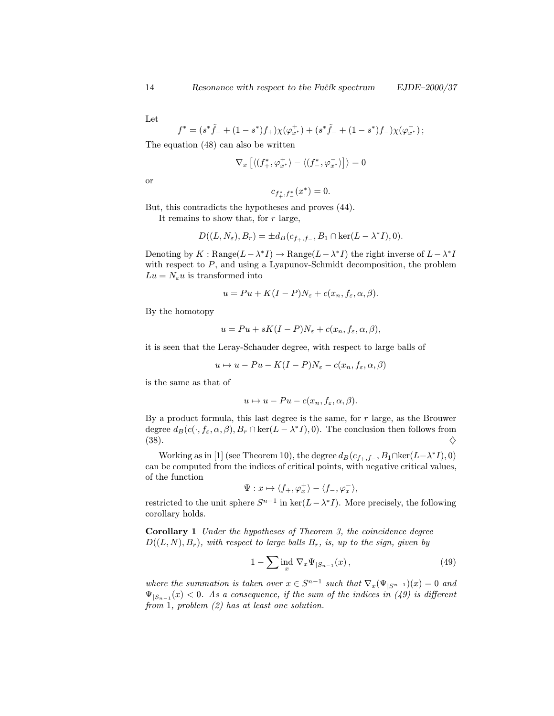Let

$$
f^* = (s^*\tilde{f}_+ + (1-s^*)f_+) \chi(\varphi_{x^*}^+) + (s^*\tilde{f}_- + (1-s^*)f_-) \chi(\varphi_{x^*}^-);
$$

The equation (48) can also be written

$$
\nabla_x \left[ \langle (f_+^*,\varphi_{x^*}^+ \rangle - \langle (f_-^*,\varphi_{x^*}^- \rangle \right] \rangle = 0
$$

or

$$
c_{f_+^*, f_-^*}(x^*) = 0.
$$

But, this contradicts the hypotheses and proves (44). It remains to show that, for  $r$  large,

$$
D((L, N_{\varepsilon}), B_r) = \pm d_B(c_{f_+, f_-}, B_1 \cap \ker(L - \lambda^* I), 0).
$$

Denoting by  $K : \text{Range}(L-\lambda^*I) \to \text{Range}(L-\lambda^*I)$  the right inverse of  $L-\lambda^*I$ with respect to P, and using a Lyapunov-Schmidt decomposition, the problem  $Lu = N_{\varepsilon}u$  is transformed into

$$
u = Pu + K(I - P)N_{\varepsilon} + c(x_n, f_{\varepsilon}, \alpha, \beta).
$$

By the homotopy

$$
u = Pu + sK(I - P)N_{\varepsilon} + c(x_n, f_{\varepsilon}, \alpha, \beta),
$$

it is seen that the Leray-Schauder degree, with respect to large balls of

$$
u \mapsto u - Pu - K(I - P)N_{\varepsilon} - c(x_n, f_{\varepsilon}, \alpha, \beta)
$$

is the same as that of

$$
u \mapsto u - Pu - c(x_n, f_{\varepsilon}, \alpha, \beta).
$$

By a product formula, this last degree is the same, for r large, as the Brouwer degree  $d_B(c(\cdot, f_{\varepsilon}, \alpha, \beta), B_r \cap \text{ker}(L - \lambda^* I), 0)$ . The conclusion then follows from  $(38).$ 

Working as in [1] (see Theorem 10), the degree  $d_B(c_{f_+,f_-}, B_1 \cap \ker(L-\lambda^* I), 0)$ can be computed from the indices of critical points, with negative critical values, of the function

$$
\Psi: x \mapsto \langle f_+,\varphi^+_x \rangle - \langle f_-,\varphi^-_x \rangle,
$$

restricted to the unit sphere  $S^{n-1}$  in ker( $L-\lambda^*I$ ). More precisely, the following corollary holds.

Corollary 1 Under the hypotheses of Theorem 3, the coincidence degree  $D((L, N), B_r)$ , with respect to large balls  $B_r$ , is, up to the sign, given by

$$
1 - \sum_{x} \operatorname{ind}_{x} \nabla_{x} \Psi_{|S_{n-1}}(x), \tag{49}
$$

where the summation is taken over  $x \in S^{n-1}$  such that  $\nabla_x(\Psi_{|S^{n-1}})(x)=0$  and  $\Psi_{|S_{n-1}}(x) < 0$ . As a consequence, if the sum of the indices in (49) is different from 1, problem (2) has at least one solution.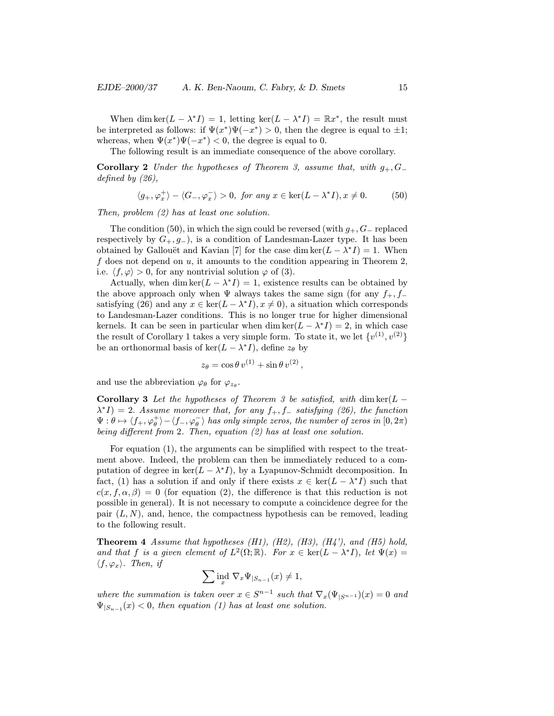When dim ker( $L - \lambda^* I$ ) = 1, letting ker( $L - \lambda^* I$ ) =  $\mathbb{R}x^*$ , the result must be interpreted as follows: if  $\Psi(x^*)\Psi(-x^*) > 0$ , then the degree is equal to  $\pm 1$ ; whereas, when  $\Psi(x^*)\Psi(-x^*)$  < 0, the degree is equal to 0.

The following result is an immediate consequence of the above corollary.

Corollary 2 Under the hypotheses of Theorem 3, assume that, with  $g_+, G_+$ defined by (26),

$$
\langle g_+,\varphi_x^+\rangle - \langle G_-,\varphi_x^-\rangle > 0, \text{ for any } x \in \ker(L - \lambda^* I), x \neq 0. \tag{50}
$$

Then, problem (2) has at least one solution.

The condition (50), in which the sign could be reversed (with  $g_+, G_-\$  replaced respectively by  $G_+, g_-$ , is a condition of Landesman-Lazer type. It has been obtained by Gallouët and Kavian [7] for the case dim ker( $L - \lambda^* I$ ) = 1. When f does not depend on  $u$ , it amounts to the condition appearing in Theorem 2, i.e.  $\langle f, \varphi \rangle > 0$ , for any nontrivial solution  $\varphi$  of (3).

Actually, when dim ker( $L - \lambda^* I$ ) = 1, existence results can be obtained by the above approach only when  $\Psi$  always takes the same sign (for any  $f_+, f_$ satisfying (26) and any  $x \in \text{ker}(L - \lambda^* I), x \neq 0$ ), a situation which corresponds to Landesman-Lazer conditions. This is no longer true for higher dimensional kernels. It can be seen in particular when dim ker( $L - \lambda^* I$ ) = 2, in which case the result of Corollary 1 takes a very simple form. To state it, we let  $\{v^{(1)}, v^{(2)}\}$ be an orthonormal basis of ker( $L - \lambda^* I$ ), define  $z_{\theta}$  by

$$
z_{\theta} = \cos \theta \, v^{(1)} + \sin \theta \, v^{(2)} \,,
$$

and use the abbreviation  $\varphi_{\theta}$  for  $\varphi_{z_{\theta}}$ .

Corollary 3 Let the hypotheses of Theorem 3 be satisfied, with dim  $\ker(L \lambda^* I$ ) = 2. Assume moreover that, for any  $f_+, f_-$  satisfying (26), the function  $\Psi:\theta\mapsto \langle f_+,\varphi^+_\theta\rangle-\langle f_-,\varphi^-_\theta\rangle$  has only simple zeros, the number of zeros in  $[0,2\pi)$ being different from 2. Then, equation (2) has at least one solution.

For equation (1), the arguments can be simplified with respect to the treatment above. Indeed, the problem can then be immediately reduced to a computation of degree in ker( $L - \lambda^* I$ ), by a Lyapunov-Schmidt decomposition. In fact, (1) has a solution if and only if there exists  $x \in \text{ker}(L - \lambda^* I)$  such that  $c(x, f, \alpha, \beta) = 0$  (for equation (2), the difference is that this reduction is not possible in general). It is not necessary to compute a coincidence degree for the pair  $(L, N)$ , and, hence, the compactness hypothesis can be removed, leading to the following result.

**Theorem 4** Assume that hypotheses  $(H1)$ ,  $(H2)$ ,  $(H3)$ ,  $(H4')$ , and  $(H5)$  hold, and that f is a given element of  $L^2(\Omega;\mathbb{R})$ . For  $x \in \text{ker}(L - \lambda^*I)$ , let  $\Psi(x) =$  $\langle f, \varphi_x \rangle$ . Then, if

$$
\sum \operatorname{ind}_{x} \nabla_{x} \Psi_{|S_{n-1}}(x) \neq 1,
$$

where the summation is taken over  $x \in S^{n-1}$  such that  $\nabla_x(\Psi_{|S^{n-1}})(x)=0$  and  $\Psi_{|S_{n-1}}(x) < 0$ , then equation (1) has at least one solution.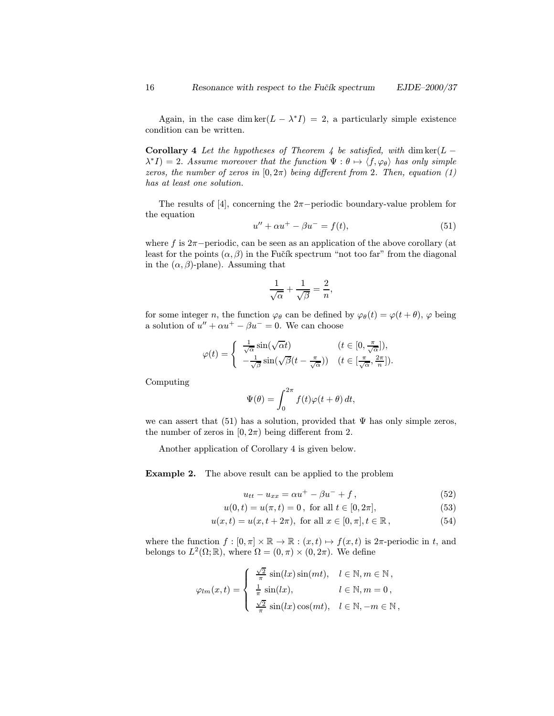Again, in the case dim ker( $L - \lambda^* I$ ) = 2, a particularly simple existence condition can be written.

Corollary 4 Let the hypotheses of Theorem 4 be satisfied, with dim  $\ker(L \lambda^* I$ ) = 2. Assume moreover that the function  $\Psi : \theta \mapsto \langle f, \varphi_{\theta} \rangle$  has only simple zeros, the number of zeros in  $[0, 2\pi)$  being different from 2. Then, equation (1) has at least one solution.

The results of [4], concerning the  $2\pi$ -periodic boundary-value problem for the equation

$$
u'' + \alpha u^{+} - \beta u^{-} = f(t), \tag{51}
$$

where f is  $2\pi$ −periodic, can be seen as an application of the above corollary (at least for the points  $(\alpha, \beta)$  in the Fučík spectrum "not too far" from the diagonal in the  $(\alpha, \beta)$ -plane). Assuming that

$$
\frac{1}{\sqrt{\alpha}} + \frac{1}{\sqrt{\beta}} = \frac{2}{n},
$$

for some integer n, the function  $\varphi_{\theta}$  can be defined by  $\varphi_{\theta}(t) = \varphi(t + \theta)$ ,  $\varphi$  being a solution of  $u'' + \alpha u^+ - \beta u^- = 0$ . We can choose

$$
\varphi(t) = \begin{cases} \frac{1}{\sqrt{\alpha}} \sin(\sqrt{\alpha}t) & (t \in [0, \frac{\pi}{\sqrt{\alpha}}]), \\ -\frac{1}{\sqrt{\beta}} \sin(\sqrt{\beta}(t - \frac{\pi}{\sqrt{\alpha}})) & (t \in [\frac{\pi}{\sqrt{\alpha}}, \frac{2\pi}{n}]). \end{cases}
$$

Computing

$$
\Psi(\theta) = \int_0^{2\pi} f(t)\varphi(t+\theta) dt,
$$

we can assert that (51) has a solution, provided that  $\Psi$  has only simple zeros, the number of zeros in  $[0, 2\pi)$  being different from 2.

Another application of Corollary 4 is given below.

Example 2. The above result can be applied to the problem

$$
u_{tt} - u_{xx} = \alpha u^+ - \beta u^- + f \,, \tag{52}
$$

$$
u(0,t) = u(\pi, t) = 0, \text{ for all } t \in [0, 2\pi], \tag{53}
$$

$$
u(x,t) = u(x, t + 2\pi), \text{ for all } x \in [0, \pi], t \in \mathbb{R},
$$
\n(54)

where the function  $f : [0, \pi] \times \mathbb{R} \to \mathbb{R} : (x, t) \mapsto f(x, t)$  is  $2\pi$ -periodic in t, and belongs to  $L^2(\Omega;\mathbb{R})$ , where  $\Omega = (0, \pi) \times (0, 2\pi)$ . We define

$$
\varphi_{lm}(x,t) = \begin{cases} \frac{\sqrt{2}}{\pi} \sin(lx) \sin(mt), & l \in \mathbb{N}, m \in \mathbb{N}, \\ \frac{1}{\pi} \sin(lx), & l \in \mathbb{N}, m = 0, \\ \frac{\sqrt{2}}{\pi} \sin(lx) \cos(mt), & l \in \mathbb{N}, -m \in \mathbb{N}, \end{cases}
$$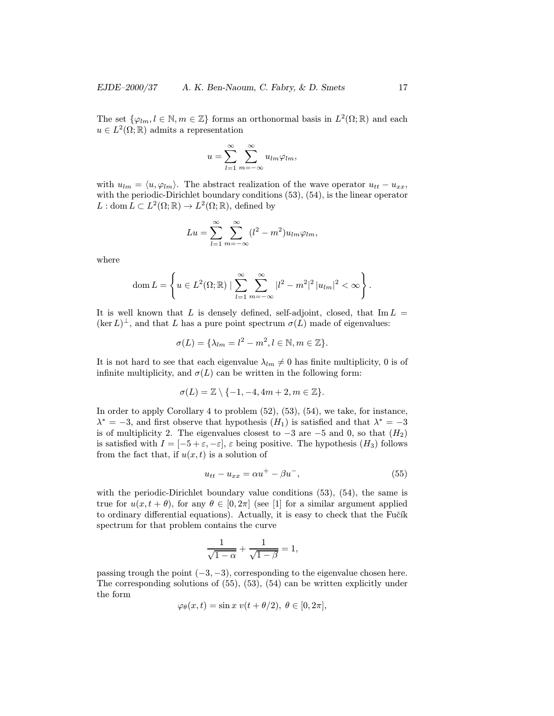The set  $\{\varphi_{lm}, l \in \mathbb{N}, m \in \mathbb{Z}\}\$  forms an orthonormal basis in  $L^2(\Omega;\mathbb{R})$  and each  $u \in L^2(\Omega;\mathbb{R})$  admits a representation

$$
u = \sum_{l=1}^{\infty} \sum_{m=-\infty}^{\infty} u_{lm} \varphi_{lm},
$$

with  $u_{lm} = \langle u, \varphi_{lm} \rangle$ . The abstract realization of the wave operator  $u_{tt} - u_{xx}$ , with the periodic-Dirichlet boundary conditions  $(53)$ ,  $(54)$ , is the linear operator  $L : \text{dom } L \subset L^2(\Omega;\mathbb{R}) \to L^2(\Omega;\mathbb{R})$ , defined by

$$
Lu = \sum_{l=1}^{\infty} \sum_{m=-\infty}^{\infty} (l^2 - m^2) u_{lm} \varphi_{lm},
$$

where

dom 
$$
L = \left\{ u \in L^2(\Omega; \mathbb{R}) \mid \sum_{l=1}^{\infty} \sum_{m=-\infty}^{\infty} |l^2 - m^2|^2 |u_{lm}|^2 < \infty \right\}.
$$

It is well known that L is densely defined, self-adjoint, closed, that  $\text{Im } L =$  $(\ker L)^{\perp}$ , and that L has a pure point spectrum  $\sigma(L)$  made of eigenvalues:

$$
\sigma(L) = \{\lambda_{lm} = l^2 - m^2, l \in \mathbb{N}, m \in \mathbb{Z}\}.
$$

It is not hard to see that each eigenvalue  $\lambda_{lm} \neq 0$  has finite multiplicity, 0 is of infinite multiplicity, and  $\sigma(L)$  can be written in the following form:

$$
\sigma(L) = \mathbb{Z} \setminus \{-1, -4, 4m + 2, m \in \mathbb{Z}\}.
$$

In order to apply Corollary 4 to problem (52), (53), (54), we take, for instance,  $\lambda^* = -3$ , and first observe that hypothesis  $(H_1)$  is satisfied and that  $\lambda^* = -3$ is of multiplicity 2. The eigenvalues closest to  $-3$  are  $-5$  and 0, so that  $(H_2)$ is satisfied with  $I = [-5 + \varepsilon, -\varepsilon], \varepsilon$  being positive. The hypothesis  $(H_3)$  follows from the fact that, if  $u(x, t)$  is a solution of

$$
u_{tt} - u_{xx} = \alpha u^+ - \beta u^-, \tag{55}
$$

with the periodic-Dirichlet boundary value conditions  $(53)$ ,  $(54)$ , the same is true for  $u(x, t + \theta)$ , for any  $\theta \in [0, 2\pi]$  (see [1] for a similar argument applied to ordinary differential equations). Actually, it is easy to check that the Fučík spectrum for that problem contains the curve

$$
\frac{1}{\sqrt{1-\alpha}} + \frac{1}{\sqrt{1-\beta}} = 1,
$$

passing trough the point  $(-3, -3)$ , corresponding to the eigenvalue chosen here. The corresponding solutions of (55), (53), (54) can be written explicitly under the form

$$
\varphi_{\theta}(x,t) = \sin x \ v(t + \theta/2), \ \theta \in [0, 2\pi],
$$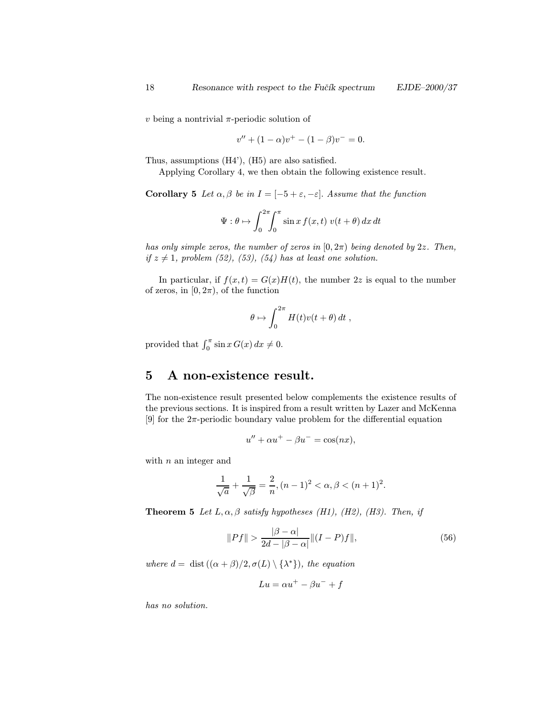$v$  being a nontrivial  $\pi$ -periodic solution of

$$
v'' + (1 - \alpha)v^{+} - (1 - \beta)v^{-} = 0.
$$

Thus, assumptions (H4'), (H5) are also satisfied.

Applying Corollary 4, we then obtain the following existence result.

Corollary 5 Let  $\alpha, \beta$  be in  $I = [-5 + \varepsilon, -\varepsilon]$ . Assume that the function

$$
\Psi: \theta \mapsto \int_0^{2\pi} \int_0^{\pi} \sin x \, f(x, t) \, v(t + \theta) \, dx \, dt
$$

has only simple zeros, the number of zeros in  $[0, 2\pi)$  being denoted by 2z. Then, if  $z \neq 1$ , problem (52), (53), (54) has at least one solution.

In particular, if  $f(x,t) = G(x)H(t)$ , the number 2z is equal to the number of zeros, in  $[0, 2\pi)$ , of the function

$$
\theta \mapsto \int_0^{2\pi} H(t)v(t+\theta)\,dt\;,
$$

provided that  $\int_0^{\pi} \sin x G(x) dx \neq 0$ .

## 5 A non-existence result.

The non-existence result presented below complements the existence results of the previous sections. It is inspired from a result written by Lazer and McKenna [9] for the  $2\pi$ -periodic boundary value problem for the differential equation

$$
u'' + \alpha u^{+} - \beta u^{-} = \cos(nx),
$$

with  $n$  an integer and

$$
\frac{1}{\sqrt{a}} + \frac{1}{\sqrt{\beta}} = \frac{2}{n}, (n-1)^2 < \alpha, \beta < (n+1)^2.
$$

**Theorem 5** Let  $L, \alpha, \beta$  satisfy hypotheses (H1), (H2), (H3). Then, if

$$
||Pf|| > \frac{|\beta - \alpha|}{2d - |\beta - \alpha|} ||(I - P)f||,
$$
\n(56)

where  $d = \text{dist}((\alpha + \beta)/2, \sigma(L) \setminus {\{\lambda^*\}}),$  the equation

$$
Lu = \alpha u^+ - \beta u^- + f
$$

has no solution.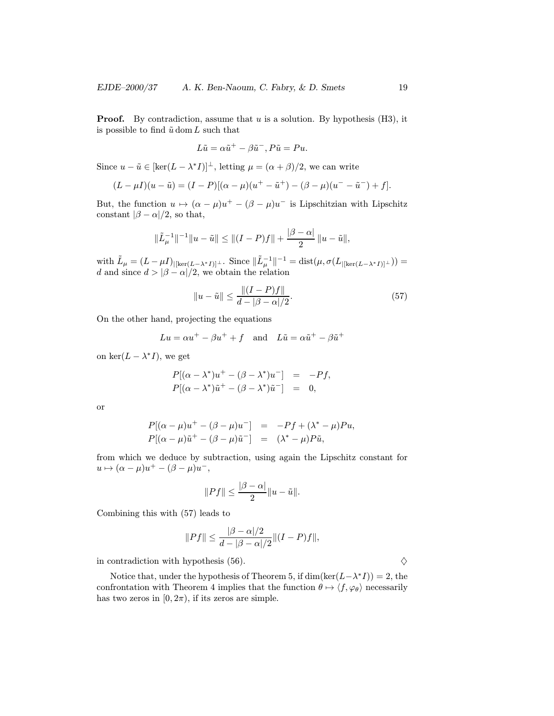**Proof.** By contradiction, assume that  $u$  is a solution. By hypothesis (H3), it is possible to find  $\tilde{u}$  dom L such that

$$
L\tilde{u} = \alpha \tilde{u}^+ - \beta \tilde{u}^-, P\tilde{u} = Pu.
$$

Since  $u - \tilde{u} \in [\ker(L - \lambda^* I)]^{\perp}$ , letting  $\mu = (\alpha + \beta)/2$ , we can write

$$
(L - \mu I)(u - \tilde{u}) = (I - P)[(\alpha - \mu)(u^{+} - \tilde{u}^{+}) - (\beta - \mu)(u^{-} - \tilde{u}^{-}) + f].
$$

But, the function  $u \mapsto (\alpha - \mu)u^{+} - (\beta - \mu)u^{-}$  is Lipschitzian with Lipschitz constant  $|\beta - \alpha|/2$ , so that,

$$
\|\tilde{L}_{\mu}^{-1}\|^{-1}\|u-\tilde{u}\| \leq \|(I-P)f\| + \frac{|\beta-\alpha|}{2}\|u-\tilde{u}\|,
$$

with  $\tilde{L}_{\mu} = (L - \mu I)_{\vert [\ker(L - \lambda^* I)]^{\perp}}$ . Since  $\Vert \tilde{L}_{\mu}^{-1} \Vert^{-1} = \text{dist}(\mu, \sigma(L_{\vert [\ker(L - \lambda^* I)]^{\perp}}))$ d and since  $d > |\beta - \alpha|/2$ , we obtain the relation

$$
||u - \tilde{u}|| \le \frac{||(I - P)f||}{d - |\beta - \alpha|/2}.
$$
\n(57)

On the other hand, projecting the equations

$$
Lu = \alpha u^+ - \beta u^+ + f
$$
 and  $L\tilde{u} = \alpha \tilde{u}^+ - \beta \tilde{u}^+$ 

on ker $(L - \lambda^* I)$ , we get

$$
P[(\alpha - \lambda^*)u^+ - (\beta - \lambda^*)u^-] = -Pf,
$$
  

$$
P[(\alpha - \lambda^*)\tilde{u}^+ - (\beta - \lambda^*)\tilde{u}^-] = 0,
$$

or

$$
P[(\alpha - \mu)u^{+} - (\beta - \mu)u^{-}] = -Pf + (\lambda^{*} - \mu)Pu,
$$
  

$$
P[(\alpha - \mu)\tilde{u}^{+} - (\beta - \mu)\tilde{u}^{-}] = (\lambda^{*} - \mu)P\tilde{u},
$$

from which we deduce by subtraction, using again the Lipschitz constant for  $u \mapsto (\alpha - \mu)u^{+} - (\beta - \mu)u^{-}$ ,

$$
||Pf|| \le \frac{|\beta - \alpha|}{2} ||u - \tilde{u}||.
$$

Combining this with (57) leads to

$$
||Pf|| \le \frac{|\beta - \alpha|/2}{d - |\beta - \alpha|/2} ||(I - P)f||,
$$

in contradiction with hypothesis (56).  $\diamondsuit$ 

Notice that, under the hypothesis of Theorem 5, if  $\dim(\ker(L-\lambda^*I)) = 2$ , the confrontation with Theorem 4 implies that the function  $\theta \mapsto \langle f, \varphi_{\theta} \rangle$  necessarily has two zeros in  $[0, 2\pi)$ , if its zeros are simple.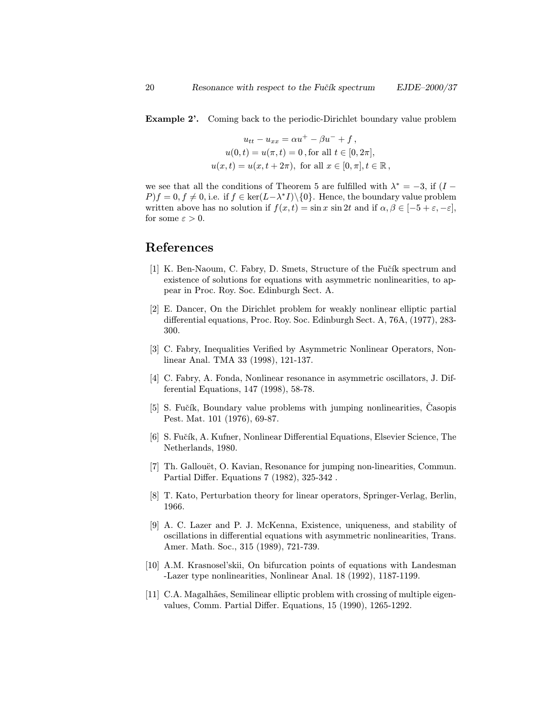Example 2'. Coming back to the periodic-Dirichlet boundary value problem

$$
u_{tt} - u_{xx} = \alpha u^{+} - \beta u^{-} + f,
$$
  
\n
$$
u(0, t) = u(\pi, t) = 0, \text{ for all } t \in [0, 2\pi],
$$
  
\n
$$
u(x, t) = u(x, t + 2\pi), \text{ for all } x \in [0, \pi], t \in \mathbb{R},
$$

we see that all the conditions of Theorem 5 are fulfilled with  $\lambda^* = -3$ , if  $(I P\{f = 0, f \neq 0\}$ , i.e. if  $f \in \text{ker}(L-\lambda^*I)\setminus\{0\}$ . Hence, the boundary value problem written above has no solution if  $f(x,t) = \sin x \sin 2t$  and if  $\alpha, \beta \in [-5 + \varepsilon, -\varepsilon]$ , for some  $\varepsilon > 0$ .

## References

- [1] K. Ben-Naoum, C. Fabry, D. Smets, Structure of the Fučík spectrum and existence of solutions for equations with asymmetric nonlinearities, to appear in Proc. Roy. Soc. Edinburgh Sect. A.
- [2] E. Dancer, On the Dirichlet problem for weakly nonlinear elliptic partial differential equations, Proc. Roy. Soc. Edinburgh Sect. A, 76A, (1977), 283- 300.
- [3] C. Fabry, Inequalities Verified by Asymmetric Nonlinear Operators, Nonlinear Anal. TMA 33 (1998), 121-137.
- [4] C. Fabry, A. Fonda, Nonlinear resonance in asymmetric oscillators, J. Differential Equations, 147 (1998), 58-78.
- [5] S. Fučík, Boundary value problems with jumping nonlinearities, Casopis Pest. Mat. 101 (1976), 69-87.
- [6] S. Fučík, A. Kufner, Nonlinear Differential Equations, Elsevier Science, The Netherlands, 1980.
- [7] Th. Gallouët, O. Kavian, Resonance for jumping non-linearities, Commun. Partial Differ. Equations 7 (1982), 325-342 .
- [8] T. Kato, Perturbation theory for linear operators, Springer-Verlag, Berlin, 1966.
- [9] A. C. Lazer and P. J. McKenna, Existence, uniqueness, and stability of oscillations in differential equations with asymmetric nonlinearities, Trans. Amer. Math. Soc., 315 (1989), 721-739.
- [10] A.M. Krasnosel'skii, On bifurcation points of equations with Landesman -Lazer type nonlinearities, Nonlinear Anal. 18 (1992), 1187-1199.
- [11] C.A. Magalhães, Semilinear elliptic problem with crossing of multiple eigenvalues, Comm. Partial Differ. Equations, 15 (1990), 1265-1292.